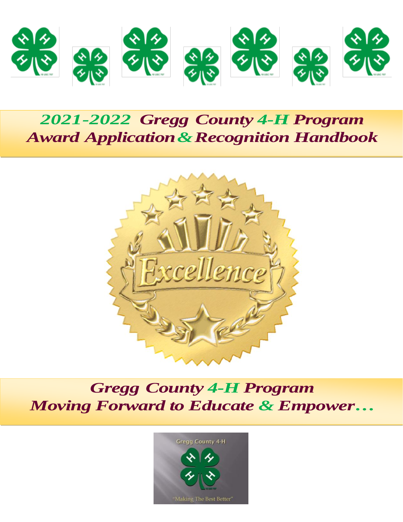

# *2021-2022 Gregg County 4-H Program Award Application&Recognition Handbook*



# *Gregg County 4-H Program Moving Forward to Educate & Empower…*

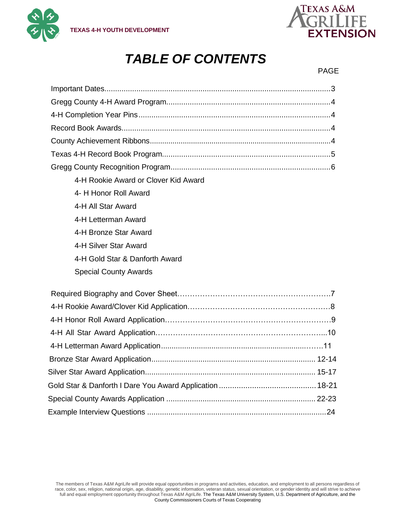



# *TABLE OF CONTENTS*

#### PAGE

| 4-H Rookie Award or Clover Kid Award |
|--------------------------------------|
| 4- H Honor Roll Award                |
| 4-H All Star Award                   |
| 4-H Letterman Award                  |
| 4-H Bronze Star Award                |
| 4-H Silver Star Award                |
| 4-H Gold Star & Danforth Award       |
| <b>Special County Awards</b>         |
|                                      |
|                                      |
|                                      |
|                                      |
|                                      |
|                                      |
|                                      |
|                                      |
|                                      |
|                                      |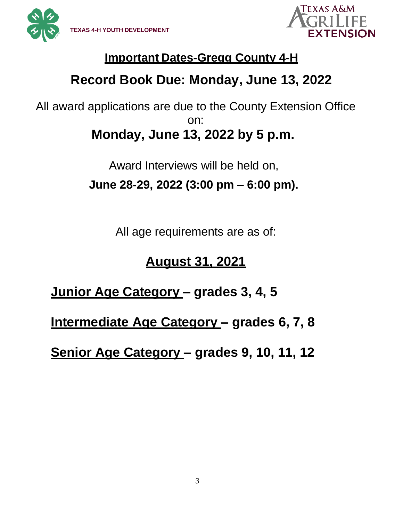



# **Important Dates-Gregg County 4-H**

# **Record Book Due: Monday, June 13, 2022**

All award applications are due to the County Extension Office on: **Monday, June 13, 2022 by 5 p.m.**

> Award Interviews will be held on, **June 28-29, 2022 (3:00 pm – 6:00 pm).**

> > All age requirements are as of:

# **August 31, 2021**

**Junior Age Category – grades 3, 4, 5**

**Intermediate Age Category – grades 6, 7, 8**

**Senior Age Category – grades 9, 10, 11, 12**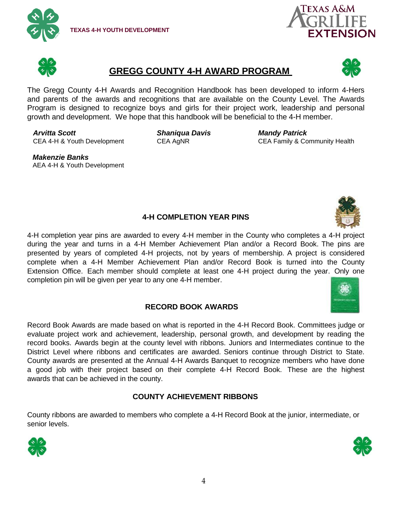





### **GREGG COUNTY 4-H AWARD PROGRAM**



The Gregg County 4-H Awards and Recognition Handbook has been developed to inform 4-Hers and parents of the awards and recognitions that are available on the County Level. The Awards Program is designed to recognize boys and girls for their project work, leadership and personal growth and development. We hope that this handbook will be beneficial to the 4-H member.

*Arvitta Scott* CEA 4-H & Youth Development  *Shaniqua Davis* CEA AgNR

*Mandy Patrick* CEA Family & Community Health

 *Makenzie Banks* AEA 4-H & Youth Development

#### **4-H COMPLETION YEAR PINS**

4-H completion year pins are awarded to every 4-H member in the County who completes a 4-H project during the year and turns in a 4-H Member Achievement Plan and/or a Record Book. The pins are presented by years of completed 4-H projects, not by years of membership. A project is considered complete when a 4-H Member Achievement Plan and/or Record Book is turned into the County Extension Office. Each member should complete at least one 4-H project during the year. Only one completion pin will be given per year to any one 4-H member.

#### **RECORD BOOK AWARDS**

Record Book Awards are made based on what is reported in the 4-H Record Book. Committees judge or evaluate project work and achievement, leadership, personal growth, and development by reading the record books. Awards begin at the county level with ribbons. Juniors and Intermediates continue to the District Level where ribbons and certificates are awarded. Seniors continue through District to State. County awards are presented at the Annual 4-H Awards Banquet to recognize members who have done a good job with their project based on their complete 4-H Record Book. These are the highest awards that can be achieved in the county.

#### **COUNTY ACHIEVEMENT RIBBONS**

County ribbons are awarded to members who complete a 4-H Record Book at the junior, intermediate, or senior levels.



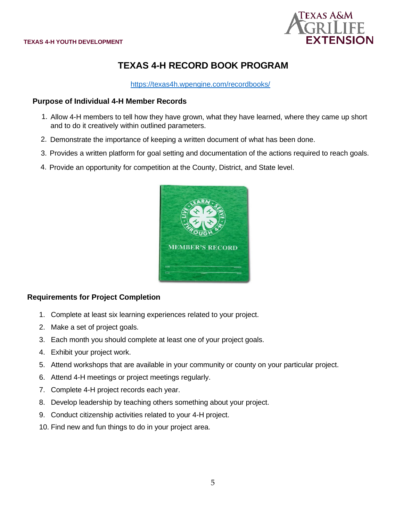

### **TEXAS 4-H RECORD BOOK PROGRAM**

<https://texas4h.wpengine.com/recordbooks/>

#### **Purpose of Individual 4-H Member Records**

- 1. Allow 4-H members to tell how they have grown, what they have learned, where they came up short and to do it creatively within outlined parameters.
- 2. Demonstrate the importance of keeping a written document of what has been done.
- 3. Provides a written platform for goal setting and documentation of the actions required to reach goals.
- 4. Provide an opportunity for competition at the County, District, and State level.



#### **Requirements for Project Completion**

- 1. Complete at least six learning experiences related to your project.
- 2. Make a set of project goals.
- 3. Each month you should complete at least one of your project goals.
- 4. Exhibit your project work.
- 5. Attend workshops that are available in your community or county on your particular project.
- 6. Attend 4-H meetings or project meetings regularly.
- 7. Complete 4-H project records each year.
- 8. Develop leadership by teaching others something about your project.
- 9. Conduct citizenship activities related to your 4-H project.
- 10. Find new and fun things to do in your project area.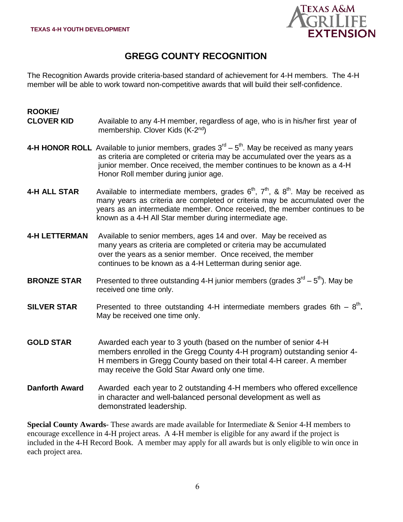

### **GREGG COUNTY RECOGNITION**

The Recognition Awards provide criteria-based standard of achievement for 4-H members. The 4-H member will be able to work toward non-competitive awards that will build their self-confidence.

### **ROOKIE/**

- **CLOVER KID** Available to any 4-H member, regardless of age, who is in his/her first year of membership. Clover Kids (K-2<sup>nd</sup>)
- 4-H HONOR ROLL Available to junior members, grades  $3^{\text{rd}} 5^{\text{th}}$ . May be received as many years as criteria are completed or criteria may be accumulated over the years as a junior member. Once received, the member continues to be known as a 4-H Honor Roll member during junior age.
- 4-H ALL STAR Available to intermediate members, grades 6<sup>th</sup>, 7<sup>th</sup>, & 8<sup>th</sup>. May be received as many years as criteria are completed or criteria may be accumulated over the years as an intermediate member. Once received, the member continues to be known as a 4-H All Star member during intermediate age.
- **4-H LETTERMAN** Available to senior members, ages 14 and over. May be received as many years as criteria are completed or criteria may be accumulated over the years as a senior member. Once received, the member continues to be known as a 4-H Letterman during senior age.
- **BRONZE STAR** Presented to three outstanding 4-H junior members (grades  $3^{rd} 5^{th}$ ). May be received one time only.
- **SILVER STAR** Presented to three outstanding 4-H intermediate members grades 6th  $-8<sup>th</sup>$ . May be received one time only.
- **GOLD STAR** Awarded each year to 3 youth (based on the number of senior 4-H members enrolled in the Gregg County 4-H program) outstanding senior 4- H members in Gregg County based on their total 4-H career. A member may receive the Gold Star Award only one time.
- **Danforth Award** Awarded each year to 2 outstanding 4-H members who offered excellence in character and well-balanced personal development as well as demonstrated leadership.

**Special County Awards**- These awards are made available for Intermediate & Senior 4-H members to encourage excellence in 4-H project areas. A 4-H member is eligible for any award if the project is included in the 4-H Record Book. A member may apply for all awards but is only eligible to win once in each project area.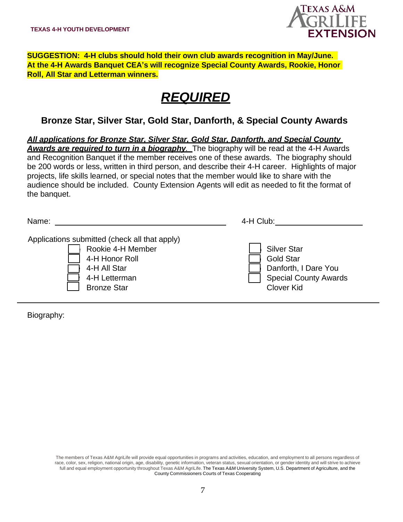

#### **SUGGESTION: 4-H clubs should hold their own club awards recognition in May/June. At the 4-H Awards Banquet CEA's will recognize Special County Awards, Rookie, Honor Roll, All Star and Letterman winners.**

# *REQUIRED*

### **Bronze Star, Silver Star, Gold Star, Danforth, & Special County Awards**

*All applications for Bronze Star, Silver Star, Gold Star, Danforth, and Special County Awards are required to turn in a biography.* The biography will be read at the 4-H Awards and Recognition Banquet if the member receives one of these awards. The biography should be 200 words or less, written in third person, and describe their 4-H career. Highlights of major projects, life skills learned, or special notes that the member would like to share with the audience should be included. County Extension Agents will edit as needed to fit the format of the banquet.

| Name:                                                                                                                                       | 4-H Club:                                                                                                           |
|---------------------------------------------------------------------------------------------------------------------------------------------|---------------------------------------------------------------------------------------------------------------------|
| Applications submitted (check all that apply)<br>Rookie 4-H Member<br>4-H Honor Roll<br>4-H All Star<br>4-H Letterman<br><b>Bronze Star</b> | <b>Silver Star</b><br><b>Gold Star</b><br>Danforth, I Dare You<br><b>Special County Awards</b><br><b>Clover Kid</b> |

Biography:

The members of Texas A&M AgriLife will provide equal opportunities in programs and activities, education, and employment to all persons regardless of race, color, sex, religion, national origin, age, disability, genetic information, veteran status, sexual orientation, or gender identity and will strive to achieve full and equal employment opportunity throughout Texas A&M AgriLife. The Texas A&M University System, U.S. Department of Agriculture, and the County Commissioners Courts of Texas Cooperating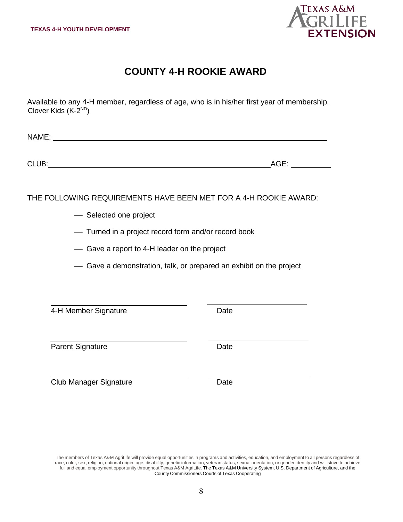

### **COUNTY 4-H ROOKIE AWARD**

Available to any 4-H member, regardless of age, who is in his/her first year of membership. Clover Kids (K-2<sup>ND</sup>)

NAME:

CLUB: AGE:

THE FOLLOWING REQUIREMENTS HAVE BEEN MET FOR A 4-H ROOKIE AWARD:

- Selected one project
- ⎯ Turned in a project record form and/or record book
- ⎯ Gave a report to 4-H leader on the project

Club Manager Signature **Date** Date

⎯ Gave a demonstration, talk, or prepared an exhibit on the project

| 4-H Member Signature    | Date |  |
|-------------------------|------|--|
| <b>Parent Signature</b> | Date |  |
|                         |      |  |

The members of Texas A&M AgriLife will provide equal opportunities in programs and activities, education, and employment to all persons regardless of race, color, sex, religion, national origin, age, disability, genetic information, veteran status, sexual orientation, or gender identity and will strive to achieve full and equal employment opportunity throughout Texas A&M AgriLife. The Texas A&M University System, U.S. Department of Agriculture, and the County Commissioners Courts of Texas Cooperating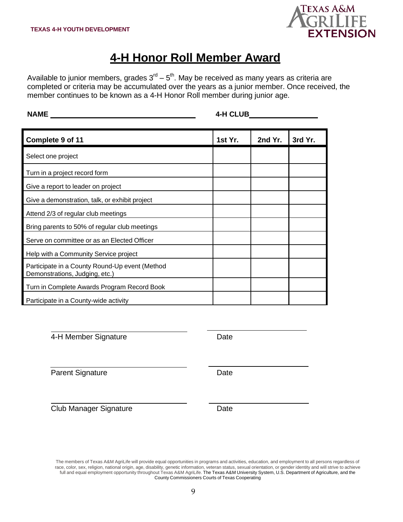

## **4-H Honor Roll Member Award**

Available to junior members, grades  $3^{\text{rd}} - 5^{\text{th}}$ . May be received as many years as criteria are completed or criteria may be accumulated over the years as a junior member. Once received, the member continues to be known as a 4-H Honor Roll member during junior age.

**NAME 4-H CLUB**

| Complete 9 of 11                                                                 | 1st Yr. | 2nd Yr. | 3rd Yr. |
|----------------------------------------------------------------------------------|---------|---------|---------|
| Select one project                                                               |         |         |         |
| Turn in a project record form                                                    |         |         |         |
| Give a report to leader on project                                               |         |         |         |
| Give a demonstration, talk, or exhibit project                                   |         |         |         |
| Attend 2/3 of regular club meetings                                              |         |         |         |
| Bring parents to 50% of regular club meetings                                    |         |         |         |
| Serve on committee or as an Elected Officer                                      |         |         |         |
| Help with a Community Service project                                            |         |         |         |
| Participate in a County Round-Up event (Method<br>Demonstrations, Judging, etc.) |         |         |         |
| Turn in Complete Awards Program Record Book                                      |         |         |         |
| Participate in a County-wide activity                                            |         |         |         |

| 4-H Member Signature          | Date |
|-------------------------------|------|
| <b>Parent Signature</b>       | Date |
| <b>Club Manager Signature</b> | Date |

The members of Texas A&M AgriLife will provide equal opportunities in programs and activities, education, and employment to all persons regardless of race, color, sex, religion, national origin, age, disability, genetic information, veteran status, sexual orientation, or gender identity and will strive to achieve full and equal employment opportunity throughout Texas A&M AgriLife. The Texas A&M University System, U.S. Department of Agriculture, and the County Commissioners Courts of Texas Cooperating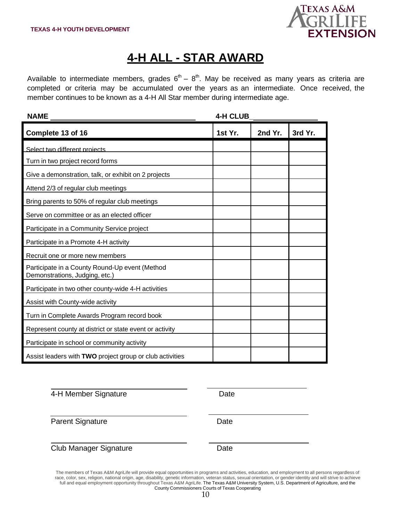

## **4-H ALL - STAR AWARD**

Available to intermediate members, grades  $6<sup>th</sup> - 8<sup>th</sup>$ . May be received as many years as criteria are completed or criteria may be accumulated over the years as an intermediate. Once received, the member continues to be known as a 4-H All Star member during intermediate age.

| <b>NAME</b>                                                                      | <b>4-H CLUB</b> |         |         |
|----------------------------------------------------------------------------------|-----------------|---------|---------|
| Complete 13 of 16                                                                | 1st Yr.         | 2nd Yr. | 3rd Yr. |
| Select two different projects                                                    |                 |         |         |
| Turn in two project record forms                                                 |                 |         |         |
| Give a demonstration, talk, or exhibit on 2 projects                             |                 |         |         |
| Attend 2/3 of regular club meetings                                              |                 |         |         |
| Bring parents to 50% of regular club meetings                                    |                 |         |         |
| Serve on committee or as an elected officer                                      |                 |         |         |
| Participate in a Community Service project                                       |                 |         |         |
| Participate in a Promote 4-H activity                                            |                 |         |         |
| Recruit one or more new members                                                  |                 |         |         |
| Participate in a County Round-Up event (Method<br>Demonstrations, Judging, etc.) |                 |         |         |
| Participate in two other county-wide 4-H activities                              |                 |         |         |
| Assist with County-wide activity                                                 |                 |         |         |
| Turn in Complete Awards Program record book                                      |                 |         |         |
| Represent county at district or state event or activity                          |                 |         |         |
| Participate in school or community activity                                      |                 |         |         |
| Assist leaders with TWO project group or club activities                         |                 |         |         |

| 4-H Member Signature | Date |
|----------------------|------|
|----------------------|------|

Parent Signature Date

**Club Manager Signature Date** 

The members of Texas A&M AgriLife will provide equal opportunities in programs and activities, education, and employment to all persons regardless of race, color, sex, religion, national origin, age, disability, genetic information, veteran status, sexual orientation, or gender identity and will strive to achieve full and equal employment opportunity throughout Texas A&M AgriLife. The Texas A&M University System, U.S. Department of Agriculture, and the County Commissioners Courts of Texas Cooperating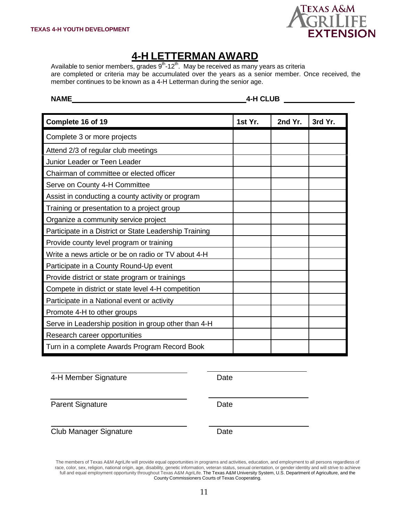

### **4-H LETTERMAN AWARD**

Available to senior members, grades 9<sup>th</sup>-12<sup>th</sup>. May be received as many years as criteria are completed or criteria may be accumulated over the years as a senior member. Once received, the member continues to be known as a 4-H Letterman during the senior age.

**NAME 4-H CLUB**

| Complete 16 of 19                                      | 1st Yr. | 2nd Yr. | 3rd Yr. |
|--------------------------------------------------------|---------|---------|---------|
| Complete 3 or more projects                            |         |         |         |
| Attend 2/3 of regular club meetings                    |         |         |         |
| Junior Leader or Teen Leader                           |         |         |         |
| Chairman of committee or elected officer               |         |         |         |
| Serve on County 4-H Committee                          |         |         |         |
| Assist in conducting a county activity or program      |         |         |         |
| Training or presentation to a project group            |         |         |         |
| Organize a community service project                   |         |         |         |
| Participate in a District or State Leadership Training |         |         |         |
| Provide county level program or training               |         |         |         |
| Write a news article or be on radio or TV about 4-H    |         |         |         |
| Participate in a County Round-Up event                 |         |         |         |
| Provide district or state program or trainings         |         |         |         |
| Compete in district or state level 4-H competition     |         |         |         |
| Participate in a National event or activity            |         |         |         |
| Promote 4-H to other groups                            |         |         |         |
| Serve in Leadership position in group other than 4-H   |         |         |         |
| Research career opportunities                          |         |         |         |
| Turn in a complete Awards Program Record Book          |         |         |         |

4-H Member Signature Date

Parent Signature Date

Club Manager Signature **Date** Date

The members of Texas A&M AgriLife will provide equal opportunities in programs and activities, education, and employment to all persons regardless of race, color, sex, religion, national origin, age, disability, genetic information, veteran status, sexual orientation, or gender identity and will strive to achieve full and equal employment opportunity throughout Texas A&M AgriLife. The Texas A&M University System, U.S. Department of Agriculture, and the County Commissioners Courts of Texas Cooperating.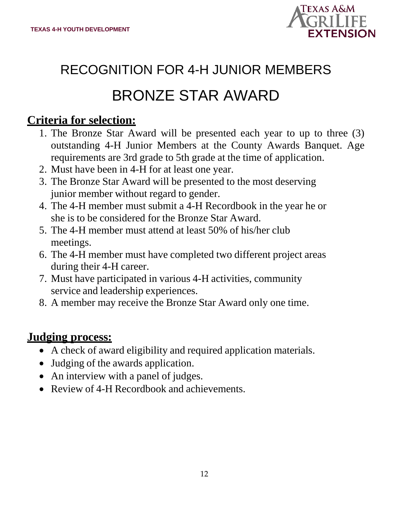

# RECOGNITION FOR 4-H JUNIOR MEMBERS BRONZE STAR AWARD

### **Criteria for selection:**

- 1. The Bronze Star Award will be presented each year to up to three (3) outstanding 4-H Junior Members at the County Awards Banquet. Age requirements are 3rd grade to 5th grade at the time of application.
- 2. Must have been in 4-H for at least one year.
- 3. The Bronze Star Award will be presented to the most deserving junior member without regard to gender.
- 4. The 4-H member must submit a 4-H Recordbook in the year he or she is to be considered for the Bronze Star Award.
- 5. The 4-H member must attend at least 50% of his/her club meetings.
- 6. The 4-H member must have completed two different project areas during their 4-H career.
- 7. Must have participated in various 4-H activities, community service and leadership experiences.
- 8. A member may receive the Bronze Star Award only one time.

## **Judging process:**

- A check of award eligibility and required application materials.
- Judging of the awards application.
- An interview with a panel of judges.
- Review of 4-H Recordbook and achievements.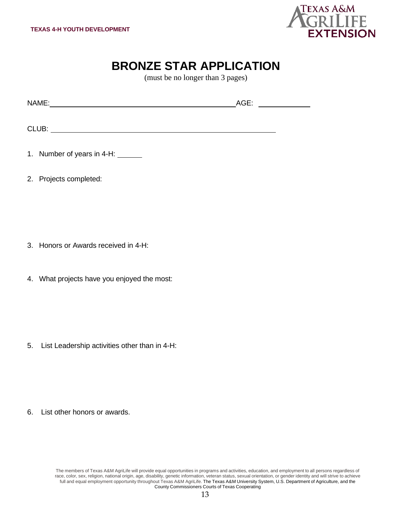

## **BRONZE STAR APPLICATION**

(must be no longer than 3 pages)

| NAME: | $AGE$ : |
|-------|---------|
|       |         |
| CLUB: |         |

- 1. Number of years in 4-H:
- 2. Projects completed:

- 3. Honors or Awards received in 4-H:
- 4. What projects have you enjoyed the most:

5. List Leadership activities other than in 4-H:

6. List other honors or awards.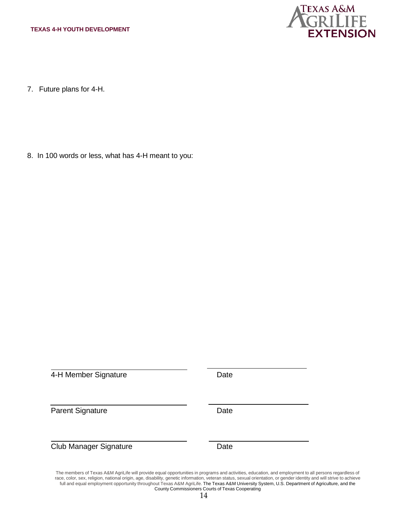

7. Future plans for 4-H.

8. In 100 words or less, what has 4-H meant to you:

| 4-H Member Signature                                                                                                                                  | Date |  |
|-------------------------------------------------------------------------------------------------------------------------------------------------------|------|--|
| <b>Parent Signature</b>                                                                                                                               | Date |  |
| <b>Club Manager Signature</b>                                                                                                                         | Date |  |
| The members of Texas A&M AgriLife will provide equal opportunities in programs and activities, education, and employment to all persons regardless of |      |  |

race, color, sex, religion, national origin, age, disability, genetic information, veteran status, sexual orientation, or gender identity and will strive to achieve full and equal employment opportunity throughout Texas A&M AgriLife. The Texas A&M University System, U.S. Department of Agriculture, and the County Commissioners Courts of Texas Cooperating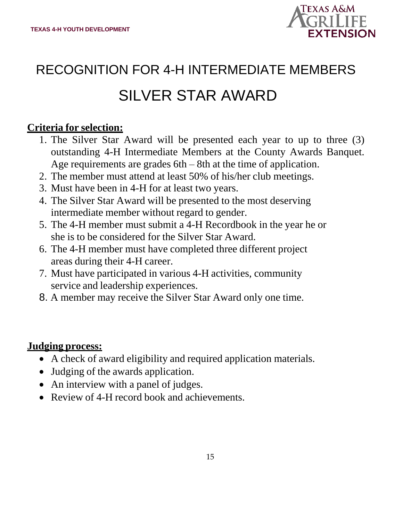

# RECOGNITION FOR 4-H INTERMEDIATE MEMBERS SILVER STAR AWARD

### **Criteria for selection:**

- 1. The Silver Star Award will be presented each year to up to three (3) outstanding 4-H Intermediate Members at the County Awards Banquet. Age requirements are grades 6th – 8th at the time of application.
- 2. The member must attend at least 50% of his/her club meetings.
- 3. Must have been in 4-H for at least two years.
- 4. The Silver Star Award will be presented to the most deserving intermediate member without regard to gender.
- 5. The 4-H member must submit a 4-H Recordbook in the year he or she is to be considered for the Silver Star Award.
- 6. The 4-H member must have completed three different project areas during their 4-H career.
- 7. Must have participated in various 4-H activities, community service and leadership experiences.
- 8. A member may receive the Silver Star Award only one time.

### **Judging process:**

- A check of award eligibility and required application materials.
- Judging of the awards application.
- An interview with a panel of judges.
- Review of 4-H record book and achievements.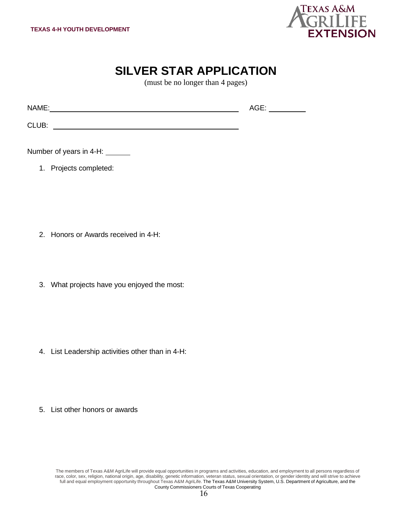

## **SILVER STAR APPLICATION**

(must be no longer than 4 pages)

NAME: AGE:

CLUB:

Number of years in 4-H:

1. Projects completed:

- 2. Honors or Awards received in 4-H:
- 3. What projects have you enjoyed the most:

- 4. List Leadership activities other than in 4-H:
- 5. List other honors or awards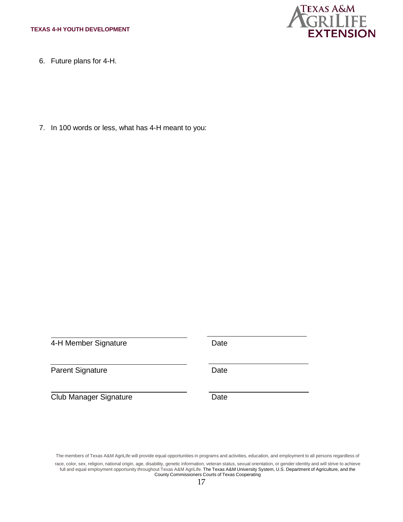

6. Future plans for 4-H.

7. In 100 words or less, what has 4-H meant to you:

| 4-H Member Signature          | Date |
|-------------------------------|------|
|                               |      |
| <b>Parent Signature</b>       | Date |
|                               |      |
| <b>Club Manager Signature</b> | Date |

The members of Texas A&M AgriLife will provide equal opportunities in programs and activities, education, and employment to all persons regardless of

race, color, sex, religion, national origin, age, disability, genetic information, veteran status, sexual orientation, or gender identity and will strive to achieve full and equal employment opportunity throughout Texas A&M AgriLife. The Texas A&M University System, U.S. Department of Agriculture, and the County Commissioners Courts of Texas Cooperating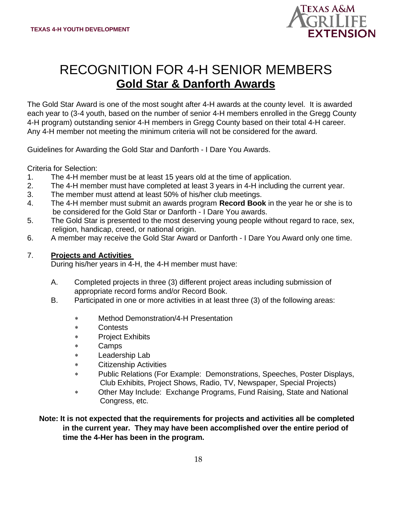

# RECOGNITION FOR 4-H SENIOR MEMBERS **Gold Star & Danforth Awards**

The Gold Star Award is one of the most sought after 4-H awards at the county level. It is awarded each year to (3-4 youth, based on the number of senior 4-H members enrolled in the Gregg County 4-H program) outstanding senior 4-H members in Gregg County based on their total 4-H career. Any 4-H member not meeting the minimum criteria will not be considered for the award.

Guidelines for Awarding the Gold Star and Danforth - I Dare You Awards.

Criteria for Selection:

- 1. The 4-H member must be at least 15 years old at the time of application.
- 2. The 4-H member must have completed at least 3 years in 4-H including the current year.
- 3. The member must attend at least 50% of his/her club meetings.
- 4. The 4-H member must submit an awards program **Record Book** in the year he or she is to be considered for the Gold Star or Danforth - I Dare You awards.
- 5. The Gold Star is presented to the most deserving young people without regard to race, sex, religion, handicap, creed, or national origin.
- 6. A member may receive the Gold Star Award or Danforth I Dare You Award only one time.

#### 7. **Projects and Activities**

During his/her years in 4-H, the 4-H member must have:

- A. Completed projects in three (3) different project areas including submission of appropriate record forms and/or Record Book.
- B. Participated in one or more activities in at least three (3) of the following areas:
	- Method Demonstration/4-H Presentation
	- Contests
	- Project Exhibits
	- Camps
	- Leadership Lab
	- Citizenship Activities
	- Public Relations (For Example: Demonstrations, Speeches, Poster Displays, Club Exhibits, Project Shows, Radio, TV, Newspaper, Special Projects)
	- Other May Include: Exchange Programs, Fund Raising, State and National Congress, etc.
- **Note: It is not expected that the requirements for projects and activities all be completed in the current year. They may have been accomplished over the entire period of time the 4-Her has been in the program.**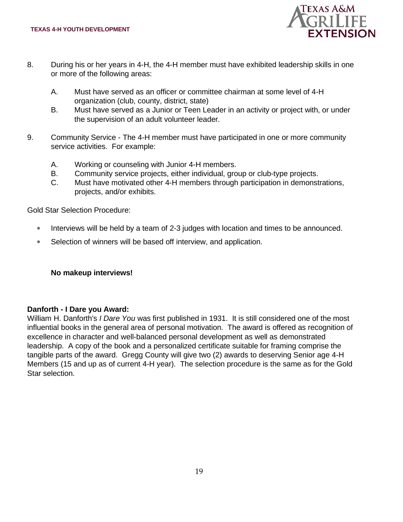

- 8. During his or her years in 4-H, the 4-H member must have exhibited leadership skills in one or more of the following areas:
	- A. Must have served as an officer or committee chairman at some level of 4-H organization (club, county, district, state)
	- B. Must have served as a Junior or Teen Leader in an activity or project with, or under the supervision of an adult volunteer leader.
- 9. Community Service The 4-H member must have participated in one or more community service activities. For example:
	- A. Working or counseling with Junior 4-H members.
	- B. Community service projects, either individual, group or club-type projects.
	- C. Must have motivated other 4-H members through participation in demonstrations, projects, and/or exhibits.

Gold Star Selection Procedure:

- Interviews will be held by a team of 2-3 judges with location and times to be announced.
- Selection of winners will be based off interview, and application.

#### **No makeup interviews!**

#### **Danforth - I Dare you Award:**

William H. Danforth's *I Dare You* was first published in 1931. It is still considered one of the most influential books in the general area of personal motivation. The award is offered as recognition of excellence in character and well-balanced personal development as well as demonstrated leadership. A copy of the book and a personalized certificate suitable for framing comprise the tangible parts of the award. Gregg County will give two (2) awards to deserving Senior age 4-H Members (15 and up as of current 4-H year). The selection procedure is the same as for the Gold Star selection.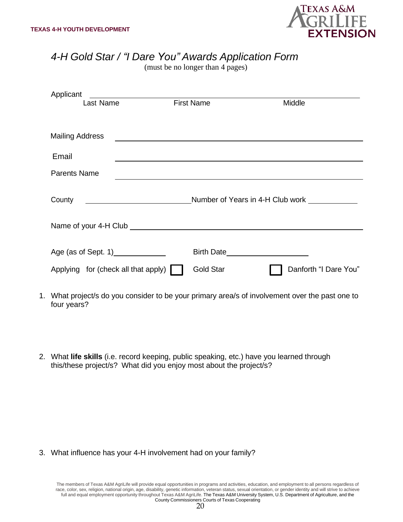

## *4-H Gold Star / "I Dare You" Awards Application Form*

(must be no longer than 4 pages)

| Danforth "I Dare You" |
|-----------------------|
|                       |
|                       |

- 1. What project/s do you consider to be your primary area/s of involvement over the past one to four years?
- 2. What **life skills** (i.e. record keeping, public speaking, etc.) have you learned through this/these project/s? What did you enjoy most about the project/s?

3. What influence has your 4-H involvement had on your family?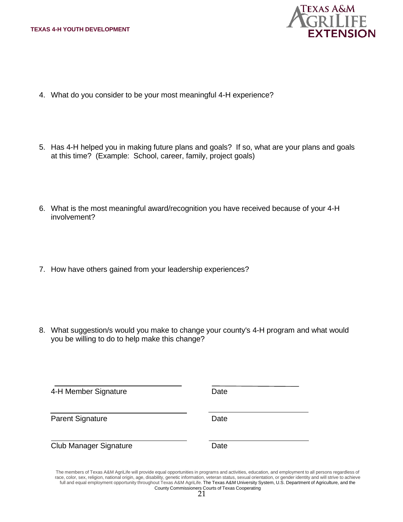

- 4. What do you consider to be your most meaningful 4-H experience?
- 5. Has 4-H helped you in making future plans and goals? If so, what are your plans and goals at this time? (Example: School, career, family, project goals)
- 6. What is the most meaningful award/recognition you have received because of your 4-H involvement?
- 7. How have others gained from your leadership experiences?

8. What suggestion/s would you make to change your county's 4-H program and what would you be willing to do to help make this change?

| 4-H Member Signature          | Date |
|-------------------------------|------|
| <b>Parent Signature</b>       | Date |
| <b>Club Manager Signature</b> | Date |

The members of Texas A&M AgriLife will provide equal opportunities in programs and activities, education, and employment to all persons regardless of race, color, sex, religion, national origin, age, disability, genetic information, veteran status, sexual orientation, or gender identity and will strive to achieve full and equal employment opportunity throughout Texas A&M AgriLife. The Texas A&M University System, U.S. Department of Agriculture, and the County Commissioners Courts of Texas Cooperating 21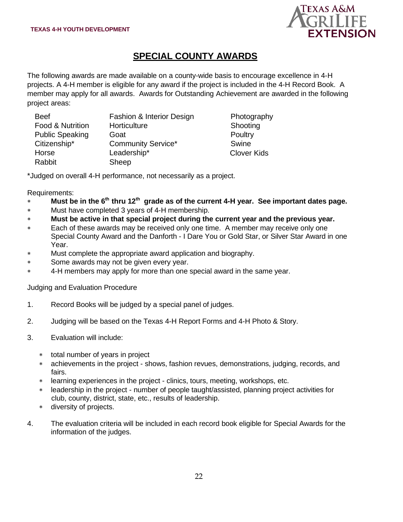

### **SPECIAL COUNTY AWARDS**

The following awards are made available on a county-wide basis to encourage excellence in 4-H projects. A 4-H member is eligible for any award if the project is included in the 4-H Record Book. A member may apply for all awards. Awards for Outstanding Achievement are awarded in the following project areas:

| <b>Beef</b>            | Fashion & Interior Design | Photography        |
|------------------------|---------------------------|--------------------|
| Food & Nutrition       | Horticulture              | Shooting           |
| <b>Public Speaking</b> | Goat                      | Poultry            |
| Citizenship*           | <b>Community Service*</b> | Swine              |
| Horse                  | Leadership*               | <b>Clover Kids</b> |
| Rabbit                 | Sheep                     |                    |

\*Judged on overall 4-H performance, not necessarily as a project.

Requirements:

- **Must be in the 6 th thru 12th grade as of the current 4-H year. See important dates page.**
- Must have completed 3 years of 4-H membership.
- **Must be active in that special project during the current year and the previous year.**
- Each of these awards may be received only one time. A member may receive only one Special County Award and the Danforth - I Dare You or Gold Star, or Silver Star Award in one Year.
- Must complete the appropriate award application and biography.
- Some awards may not be given every year.
- 4-H members may apply for more than one special award in the same year.

Judging and Evaluation Procedure

- 1. Record Books will be judged by a special panel of judges.
- 2. Judging will be based on the Texas 4-H Report Forms and 4-H Photo & Story.
- 3. Evaluation will include:
	- total number of years in project
	- achievements in the project shows, fashion revues, demonstrations, judging, records, and fairs.
	- learning experiences in the project clinics, tours, meeting, workshops, etc.
	- leadership in the project number of people taught/assisted, planning project activities for club, county, district, state, etc., results of leadership.
	- diversity of projects.
- 4. The evaluation criteria will be included in each record book eligible for Special Awards for the information of the judges.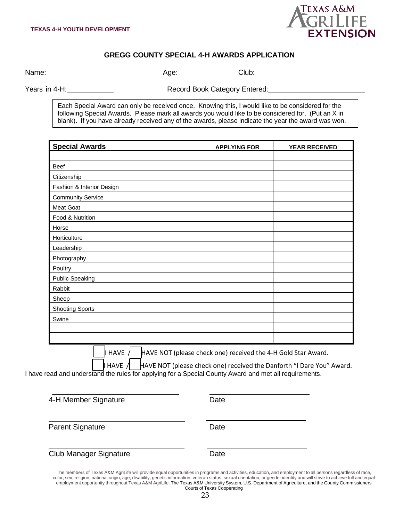

#### **GREGG COUNTY SPECIAL 4-H AWARDS APPLICATION**

Name: Age: Club:

Years in 4-H: Next Record Book Category Entered:

Each Special Award can only be received once. Knowing this, I would like to be considered for the following Special Awards. Please mark all awards you would like to be considered for. (Put an X in blank). If you have already received any of the awards, please indicate the year the award was won.

| <b>Special Awards</b>     | <b>APPLYING FOR</b> | <b>YEAR RECEIVED</b> |
|---------------------------|---------------------|----------------------|
|                           |                     |                      |
| Beef                      |                     |                      |
| Citizenship               |                     |                      |
| Fashion & Interior Design |                     |                      |
| <b>Community Service</b>  |                     |                      |
| Meat Goat                 |                     |                      |
| Food & Nutrition          |                     |                      |
| Horse                     |                     |                      |
| Horticulture              |                     |                      |
| Leadership                |                     |                      |
| Photography               |                     |                      |
| Poultry                   |                     |                      |
| <b>Public Speaking</b>    |                     |                      |
| Rabbit                    |                     |                      |
| Sheep                     |                     |                      |
| <b>Shooting Sports</b>    |                     |                      |
| Swine                     |                     |                      |
|                           |                     |                      |
|                           |                     |                      |

 $\parallel$  HAVE  $\parallel$   $\parallel$  HAVE NOT (please check one) received the 4-H Gold Star Award.

| HAVE  $\sqrt{ }$  | HAVE NOT (please check one) received the Danforth "I Dare You" Award. I have read and understand the rules for applying for a Special County Award and met all requirements.

4-H Member Signature **Date** 

**О** 

Parent Signature Date

Club Manager Signature **Date** 

The members of Texas A&M AgriLife will provide equal opportunities in programs and activities, education, and employment to all persons regardless of race, color, sex, religion, national origin, age, disability, genetic information, veteran status, sexual orientation, or gender identity and will strive to achieve full and equal employment opportunity throughout Texas A&M AgriLife. The Texas A&M University System, U.S. Department of Agriculture, and the County Commissioners Courts of Texas Cooperating